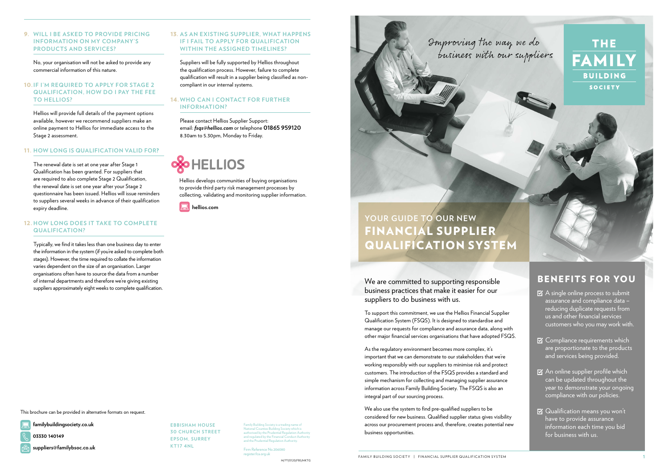We are committed to supporting responsible business practices that make it easier for our suppliers to do business with us.

To support this commitment, we use the Hellios Financial Supplier Qualification System (FSQS). It is designed to standardise and manage our requests for compliance and assurance data, along with other major financial services organisations that have adopted FSQS.  $\boxtimes$  A single online process to submit assurance and compliance data – reducing duplicate requests from us and other financial services customers who you may work with.

As the regulatory environment becomes more complex, it's important that we can demonstrate to our stakeholders that we're working responsibly with our suppliers to minimise risk and protect customers. The introduction of the FSQS provides a standard and simple mechanism for collecting and managing supplier assurance information across Family Building Society. The FSQS is also an integral part of our sourcing process.

- **S** Compliance requirements which are proportionate to the products and services being provided.
- $\boxtimes$  An online supplier profile which can be updated throughout the year to demonstrate your ongoing compliance with our policies.
- $\boxtimes$  Qualification means you won't have to provide assurance information each time you bid for business with us.

We also use the system to find pre-qualified suppliers to be considered for new business. Qualified supplier status gives visibility across our procurement process and, therefore, creates potential new business opportunities.

## BENEFITS FOR YOU

# **YOUR GUIDE TO OUR NEW** FINANCIAL SUPPLIER QUALIFICATION SYSTEM



### 9. **WILL I BE ASKED TO PROVIDE PRICING INFORMATION ON MY COMPANY'S PRODUCTS AND SERVICES?**

No, your organisation will not be asked to provide any commercial information of this nature.

> Firm Reference No.20608 register.fca.org.uk

THE **BUILDING SOCIETY** 

### 10.**IF I'M REQUIRED TO APPLY FOR STAGE 2 QUALIFICATION, HOW DO I PAY THE FEE TO HELLIOS?**

Hellios will provide full details of the payment options available, however we recommend suppliers make an online payment to Hellios for immediate access to the Stage 2 assessment.

#### 11. **HOW LONG IS QUALIFICATION VALID FOR**?

The renewal date is set at one year after Stage 1 Qualification has been granted. For suppliers that are required to also complete Stage 2 Qualification, the renewal date is set one year after your Stage 2 questionnaire has been issued. Hellios will issue reminders to suppliers several weeks in advance of their qualification expiry deadline.

### 12. **HOW LONG DOES IT TAKE TO COMPLETE QUALIFICATION?**

Typically, we find it takes less than one business day to enter the information in the system (if you're asked to complete both stages). However, the time required to collate the information varies dependent on the size of an organisation. Larger organisations often have to source the data from a number of internal departments and therefore we're giving existing suppliers approximately eight weeks to complete qualification.

### 13. **AS AN EXISTING SUPPLIER, WHAT HAPPENS IF I FAIL TO APPLY FOR QUALIFICATION WITHIN THE ASSIGNED TIMELINES?**

Suppliers will be fully supported by Hellios throughout the qualification process. However, failure to complete qualification will result in a supplier being classified as noncompliant in our internal systems.

### 14. **WHO CAN I CONTACT FOR FURTHER INFORMATION?**

Please contact Hellios Supplier Support: email: *fsqs@hellios.com* or telephone **01865 959120** 8.30am to 5.30pm, Monday to Friday.



This brochure can be provided in alternative formats on request.

**EBBISHAM HOUSE 30 CHURCH STREET EPSOM, SURREY KT17 4NL**

M/???/0120/FBS/MKTG

Family Building Society is a trading name of National Counties Building Society which is authorised by the Prudential Regulation Authority and regulated by the Financial Conduct Authority and the Prudential Regulation Authority.

**03330 140149**

**familybuildingsociety.co.uk**

**suppliers@familybsoc.co.uk**

Hellios develops communities of buying organisations to provide third party risk management processes by collecting, validating and monitoring supplier information.

 **hellios.com**